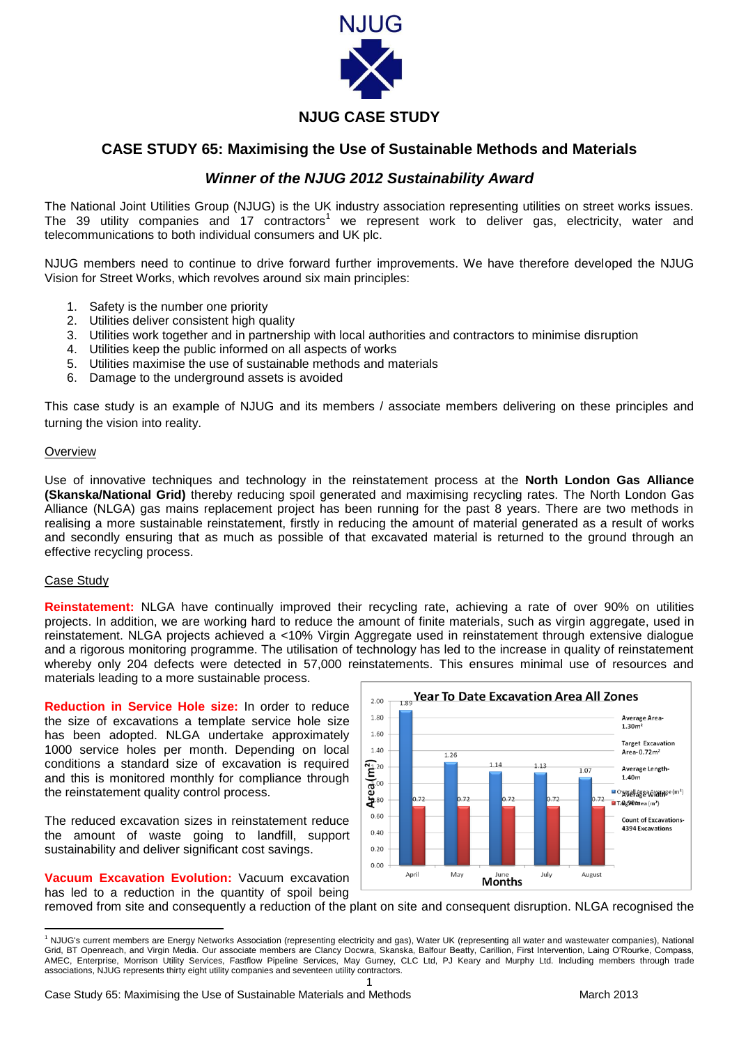

# **NJUG CASE STUDY**

### **CASE STUDY 65: Maximising the Use of Sustainable Methods and Materials**

## *Winner of the NJUG 2012 Sustainability Award*

The National Joint Utilities Group (NJUG) is the UK industry association representing utilities on street works issues. The 39 utility companies and 17 contractors<sup>1</sup> we represent work to deliver gas, electricity, water and telecommunications to both individual consumers and UK plc.

NJUG members need to continue to drive forward further improvements. We have therefore developed the NJUG Vision for Street Works, which revolves around six main principles:

- 1. Safety is the number one priority
- 2. Utilities deliver consistent high quality
- 3. Utilities work together and in partnership with local authorities and contractors to minimise disruption
- 4. Utilities keep the public informed on all aspects of works
- 5. Utilities maximise the use of sustainable methods and materials
- 6. Damage to the underground assets is avoided

This case study is an example of NJUG and its members / associate members delivering on these principles and turning the vision into reality.

#### **Overview**

Use of innovative techniques and technology in the reinstatement process at the **North London Gas Alliance (Skanska/National Grid)** thereby reducing spoil generated and maximising recycling rates. The North London Gas Alliance (NLGA) gas mains replacement project has been running for the past 8 years. There are two methods in realising a more sustainable reinstatement, firstly in reducing the amount of material generated as a result of works and secondly ensuring that as much as possible of that excavated material is returned to the ground through an effective recycling process.

#### Case Study

**.** 

**Reinstatement:** NLGA have continually improved their recycling rate, achieving a rate of over 90% on utilities projects. In addition, we are working hard to reduce the amount of finite materials, such as virgin aggregate, used in reinstatement. NLGA projects achieved a <10% Virgin Aggregate used in reinstatement through extensive dialogue and a rigorous monitoring programme. The utilisation of technology has led to the increase in quality of reinstatement whereby only 204 defects were detected in 57,000 reinstatements. This ensures minimal use of resources and materials leading to a more sustainable process.

**Reduction in Service Hole size:** In order to reduce the size of excavations a template service hole size has been adopted. NLGA undertake approximately 1000 service holes per month. Depending on local conditions a standard size of excavation is required and this is monitored monthly for compliance through the reinstatement quality control process.

The reduced excavation sizes in reinstatement reduce the amount of waste going to landfill, support sustainability and deliver significant cost savings.

**Vacuum Excavation Evolution:** Vacuum excavation has led to a reduction in the quantity of spoil being



removed from site and consequently a reduction of the plant on site and consequent disruption. NLGA recognised the

<sup>1</sup> <sup>1</sup> NJUG's current members are Energy Networks Association (representing electricity and gas), Water UK (representing all water and wastewater companies), National Grid, BT Openreach, and Virgin Media. Our associate members are Clancy Docwra, Skanska, Balfour Beatty, Carillion, First Intervention, Laing O'Rourke, Compass, AMEC, Enterprise, Morrison Utility Services, Fastflow Pipeline Services, May Gurney, CLC Ltd, PJ Keary and Murphy Ltd. Including members through trade associations, NJUG represents thirty eight utility companies and seventeen utility contractors.